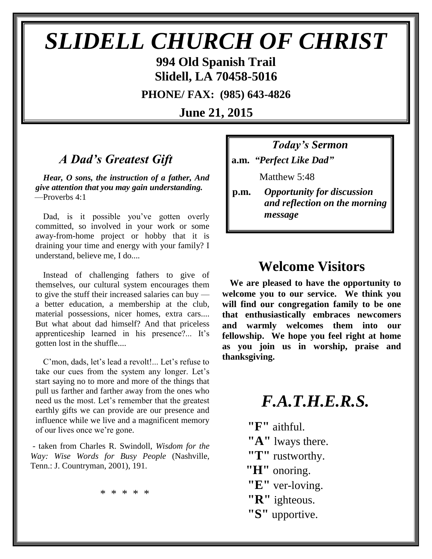# *SLIDELL CHURCH OF CHRIST*

**994 Old Spanish Trail Slidell, LA 70458-5016**

**PHONE/ FAX: (985) 643-4826**

**June 21, 2015**

## *A Dad's Greatest Gift*

*Hear, O sons, the instruction of a father, And give attention that you may gain understanding.* —Proverbs 4:1

Dad, is it possible you've gotten overly committed, so involved in your work or some away-from-home project or hobby that it is draining your time and energy with your family? I understand, believe me, I do....

Instead of challenging fathers to give of themselves, our cultural system encourages them to give the stuff their increased salaries can buy a better education, a membership at the club, material possessions, nicer homes, extra cars.... But what about dad himself? And that priceless apprenticeship learned in his presence?... It's gotten lost in the shuffle....

C'mon, dads, let's lead a revolt!... Let's refuse to take our cues from the system any longer. Let's start saying no to more and more of the things that pull us farther and farther away from the ones who need us the most. Let's remember that the greatest earthly gifts we can provide are our presence and influence while we live and a magnificent memory of our lives once we're gone.

- taken from Charles R. Swindoll, *Wisdom for the Way: Wise Words for Busy People* (Nashville, Tenn.: J. Countryman, 2001), 191.

\* \* \* \* \*

*Today's Sermon* **a.m.** *"Perfect Like Dad"*

**Matthew 5:48** 

**p.m.** *Opportunity for discussion*  *and reflection on the morning message*

## **Welcome Visitors**

**We are pleased to have the opportunity to welcome you to our service. We think you will find our congregation family to be one that enthusiastically embraces newcomers and warmly welcomes them into our fellowship. We hope you feel right at home as you join us in worship, praise and thanksgiving.**

## *F.A.T.H.E.R.S.*

**"F"** aithful.

- **"A"** lways there.
- **"T"** rustworthy.
- **"H"** onoring.
- **"E"** ver-loving.
- **"R"** ighteous.
- **"S"** upportive.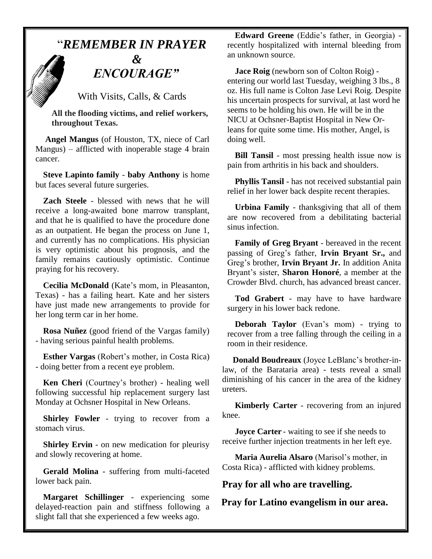## "*REMEMBER IN PRAYER*

## *&* " *ENCOURAGE"*

With Visits, Calls, & Cards

 **All the flooding victims, and relief workers, throughout Texas.**

**Angel Mangus** (of Houston, TX, niece of Carl Mangus) – afflicted with inoperable stage 4 brain cancer.

**Steve Lapinto family** - **baby Anthony** is home but faces several future surgeries.

**Zach Steele** - blessed with news that he will receive a long-awaited bone marrow transplant, and that he is qualified to have the procedure done as an outpatient. He began the process on June 1, and currently has no complications. His physician is very optimistic about his prognosis, and the family remains cautiously optimistic. Continue praying for his recovery.

**Cecilia McDonald** (Kate's mom, in Pleasanton, Texas) - has a failing heart. Kate and her sisters have just made new arrangements to provide for her long term car in her home.

**Rosa Nuñez** (good friend of the Vargas family) - having serious painful health problems.

**Esther Vargas** (Robert's mother, in Costa Rica) - doing better from a recent eye problem.

**Ken Cheri** (Courtney's brother) - healing well following successful hip replacement surgery last Monday at Ochsner Hospital in New Orleans.

**Shirley Fowler** - trying to recover from a stomach virus.

**Shirley Ervin** - on new medication for pleurisy and slowly recovering at home.

**Gerald Molina** - suffering from multi-faceted lower back pain.

**Margaret Schillinger** - experiencing some delayed-reaction pain and stiffness following a slight fall that she experienced a few weeks ago.

**Edward Greene** (Eddie's father, in Georgia) recently hospitalized with internal bleeding from an unknown source.

**Jace Roig** (newborn son of Colton Roig) entering our world last Tuesday, weighing 3 lbs., 8 oz. His full name is Colton Jase Levi Roig. Despite his uncertain prospects for survival, at last word he seems to be holding his own. He will be in the NICU at Ochsner-Baptist Hospital in New Orleans for quite some time. His mother, Angel, is doing well.

**Bill Tansil** - most pressing health issue now is pain from arthritis in his back and shoulders.

**Phyllis Tansil** - has not received substantial pain relief in her lower back despite recent therapies.

**Urbina Family** - thanksgiving that all of them are now recovered from a debilitating bacterial sinus infection.

**Family of Greg Bryant** - bereaved in the recent passing of Greg's father, **Irvin Bryant Sr.,** and Greg's brother, **Irvin Bryant Jr.** In addition Anita Bryant's sister, **Sharon Honoré**, a member at the Crowder Blvd. church, has advanced breast cancer.

**Tod Grabert** - may have to have hardware surgery in his lower back redone.

**Deborah Taylor** (Evan's mom) - trying to recover from a tree falling through the ceiling in a room in their residence.

 **Donald Boudreaux** (Joyce LeBlanc's brother-inlaw, of the Barataria area) - tests reveal a small diminishing of his cancer in the area of the kidney ureters.

 **Kimberly Carter** - recovering from an injured knee.

**Joyce Carter** - waiting to see if she needs to receive further injection treatments in her left eye.

 **Maria Aurelia Alsaro** (Marisol's mother, in Costa Rica) - afflicted with kidney problems.

**Pray for all who are travelling.**

**Pray for Latino evangelism in our area.**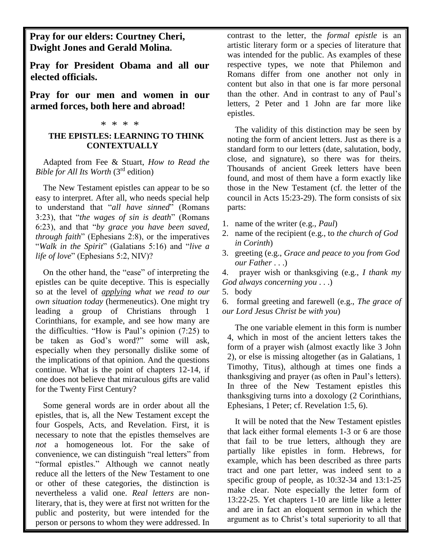**Pray for our elders: Courtney Cheri, Dwight Jones and Gerald Molina.**

**Pray for President Obama and all our elected officials.**

**Pray for our men and women in our armed forces, both here and abroad!**

#### \* \* \* \*

#### **THE EPISTLES: LEARNING TO THINK CONTEXTUALLY**

Adapted from Fee & Stuart, *How to Read the Bible for All Its Worth* (3rd edition)

The New Testament epistles can appear to be so easy to interpret. After all, who needs special help to understand that "*all have sinned*" (Romans 3:23), that "*the wages of sin is death*" (Romans 6:23), and that "*by grace you have been saved, through faith*" (Ephesians 2:8), or the imperatives "*Walk in the Spirit*" (Galatians 5:16) and "*live a life of love*" (Ephesians 5:2, NIV)?

On the other hand, the "ease" of interpreting the epistles can be quite deceptive. This is especially so at the level of *applying what we read to our own situation today* (hermeneutics). One might try leading a group of Christians through 1 Corinthians, for example, and see how many are the difficulties. "How is Paul's opinion (7:25) to be taken as God's word?" some will ask, especially when they personally dislike some of the implications of that opinion. And the questions continue. What is the point of chapters 12-14, if one does not believe that miraculous gifts are valid for the Twenty First Century?

Some general words are in order about all the epistles, that is, all the New Testament except the four Gospels, Acts, and Revelation. First, it is necessary to note that the epistles themselves are *not* a homogeneous lot. For the sake of convenience, we can distinguish "real letters" from "formal epistles." Although we cannot neatly reduce all the letters of the New Testament to one or other of these categories, the distinction is nevertheless a valid one. *Real letters* are nonliterary, that is, they were at first not written for the public and posterity, but were intended for the person or persons to whom they were addressed. In

contrast to the letter, the *formal epistle* is an artistic literary form or a species of literature that was intended for the public. As examples of these respective types, we note that Philemon and Romans differ from one another not only in content but also in that one is far more personal than the other. And in contrast to any of Paul's letters, 2 Peter and 1 John are far more like epistles.

The validity of this distinction may be seen by noting the form of ancient letters. Just as there is a standard form to our letters (date, salutation, body, close, and signature), so there was for theirs. Thousands of ancient Greek letters have been found, and most of them have a form exactly like those in the New Testament (cf. the letter of the council in Acts 15:23-29). The form consists of six parts:

- 1. name of the writer (e.g., *Paul*)
- 2. name of the recipient (e.g., to *the church of God in Corinth*)
- 3. greeting (e.g., *Grace and peace to you from God our Father* . . .)

4. prayer wish or thanksgiving (e.g., *I thank my God always concerning you* . . .)

5. body

6. formal greeting and farewell (e.g., *The grace of our Lord Jesus Christ be with you*)

The one variable element in this form is number 4, which in most of the ancient letters takes the form of a prayer wish (almost exactly like 3 John 2), or else is missing altogether (as in Galatians, 1 Timothy, Titus), although at times one finds a thanksgiving and prayer (as often in Paul's letters). In three of the New Testament epistles this thanksgiving turns into a doxology (2 Corinthians, Ephesians, 1 Peter; cf. Revelation 1:5, 6).

It will be noted that the New Testament epistles that lack either formal elements 1-3 or 6 are those that fail to be true letters, although they are partially like epistles in form. Hebrews, for example, which has been described as three parts tract and one part letter, was indeed sent to a specific group of people, as 10:32-34 and 13:1-25 make clear. Note especially the letter form of 13:22-25. Yet chapters 1-10 are little like a letter and are in fact an eloquent sermon in which the argument as to Christ's total superiority to all that